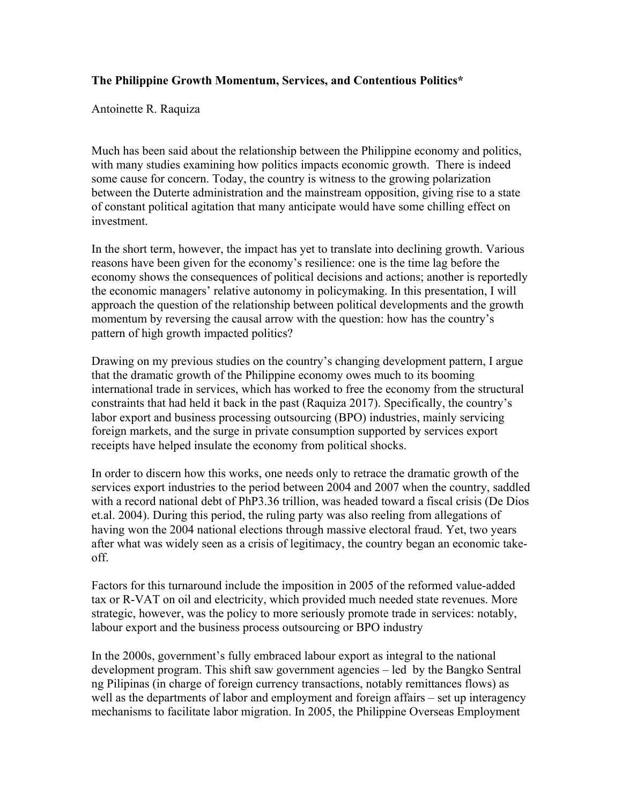## **The Philippine Growth Momentum, Services, and Contentious Politics\***

Antoinette R. Raquiza

Much has been said about the relationship between the Philippine economy and politics, with many studies examining how politics impacts economic growth. There is indeed some cause for concern. Today, the country is witness to the growing polarization between the Duterte administration and the mainstream opposition, giving rise to a state of constant political agitation that many anticipate would have some chilling effect on investment.

In the short term, however, the impact has yet to translate into declining growth. Various reasons have been given for the economy's resilience: one is the time lag before the economy shows the consequences of political decisions and actions; another is reportedly the economic managers' relative autonomy in policymaking. In this presentation, I will approach the question of the relationship between political developments and the growth momentum by reversing the causal arrow with the question: how has the country's pattern of high growth impacted politics?

Drawing on my previous studies on the country's changing development pattern, I argue that the dramatic growth of the Philippine economy owes much to its booming international trade in services, which has worked to free the economy from the structural constraints that had held it back in the past (Raquiza 2017). Specifically, the country's labor export and business processing outsourcing (BPO) industries, mainly servicing foreign markets, and the surge in private consumption supported by services export receipts have helped insulate the economy from political shocks.

In order to discern how this works, one needs only to retrace the dramatic growth of the services export industries to the period between 2004 and 2007 when the country, saddled with a record national debt of PhP3.36 trillion, was headed toward a fiscal crisis (De Dios et.al. 2004). During this period, the ruling party was also reeling from allegations of having won the 2004 national elections through massive electoral fraud. Yet, two years after what was widely seen as a crisis of legitimacy, the country began an economic takeoff.

Factors for this turnaround include the imposition in 2005 of the reformed value-added tax or R-VAT on oil and electricity, which provided much needed state revenues. More strategic, however, was the policy to more seriously promote trade in services: notably, labour export and the business process outsourcing or BPO industry

In the 2000s, government's fully embraced labour export as integral to the national development program. This shift saw government agencies – led by the Bangko Sentral ng Pilipinas (in charge of foreign currency transactions, notably remittances flows) as well as the departments of labor and employment and foreign affairs – set up interagency mechanisms to facilitate labor migration. In 2005, the Philippine Overseas Employment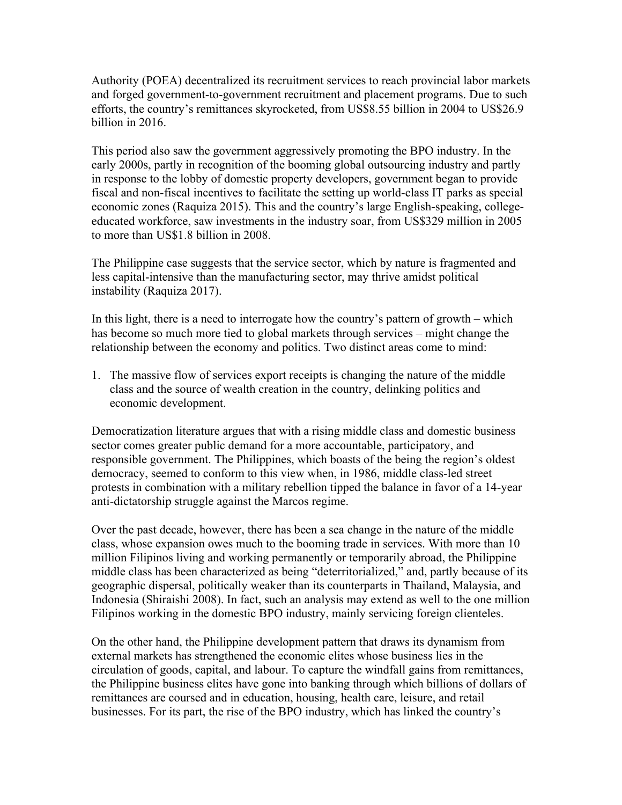Authority (POEA) decentralized its recruitment services to reach provincial labor markets and forged government-to-government recruitment and placement programs. Due to such efforts, the country's remittances skyrocketed, from US\$8.55 billion in 2004 to US\$26.9 billion in 2016.

This period also saw the government aggressively promoting the BPO industry. In the early 2000s, partly in recognition of the booming global outsourcing industry and partly in response to the lobby of domestic property developers, government began to provide fiscal and non-fiscal incentives to facilitate the setting up world-class IT parks as special economic zones (Raquiza 2015). This and the country's large English-speaking, collegeeducated workforce, saw investments in the industry soar, from US\$329 million in 2005 to more than US\$1.8 billion in 2008.

The Philippine case suggests that the service sector, which by nature is fragmented and less capital-intensive than the manufacturing sector, may thrive amidst political instability (Raquiza 2017).

In this light, there is a need to interrogate how the country's pattern of growth – which has become so much more tied to global markets through services – might change the relationship between the economy and politics. Two distinct areas come to mind:

1. The massive flow of services export receipts is changing the nature of the middle class and the source of wealth creation in the country, delinking politics and economic development.

Democratization literature argues that with a rising middle class and domestic business sector comes greater public demand for a more accountable, participatory, and responsible government. The Philippines, which boasts of the being the region's oldest democracy, seemed to conform to this view when, in 1986, middle class-led street protests in combination with a military rebellion tipped the balance in favor of a 14-year anti-dictatorship struggle against the Marcos regime.

Over the past decade, however, there has been a sea change in the nature of the middle class, whose expansion owes much to the booming trade in services. With more than 10 million Filipinos living and working permanently or temporarily abroad, the Philippine middle class has been characterized as being "deterritorialized," and, partly because of its geographic dispersal, politically weaker than its counterparts in Thailand, Malaysia, and Indonesia (Shiraishi 2008). In fact, such an analysis may extend as well to the one million Filipinos working in the domestic BPO industry, mainly servicing foreign clienteles.

On the other hand, the Philippine development pattern that draws its dynamism from external markets has strengthened the economic elites whose business lies in the circulation of goods, capital, and labour. To capture the windfall gains from remittances, the Philippine business elites have gone into banking through which billions of dollars of remittances are coursed and in education, housing, health care, leisure, and retail businesses. For its part, the rise of the BPO industry, which has linked the country's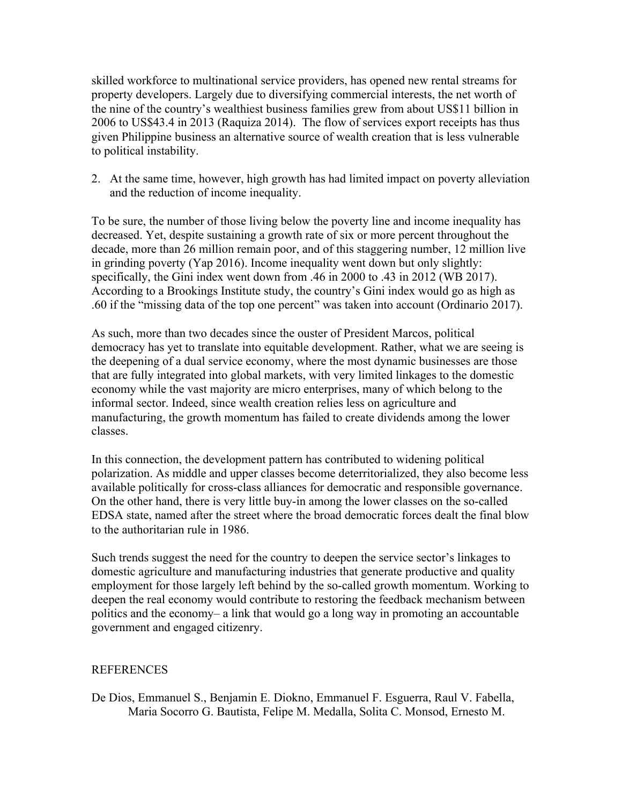skilled workforce to multinational service providers, has opened new rental streams for property developers. Largely due to diversifying commercial interests, the net worth of the nine of the country's wealthiest business families grew from about US\$11 billion in 2006 to US\$43.4 in 2013 (Raquiza 2014). The flow of services export receipts has thus given Philippine business an alternative source of wealth creation that is less vulnerable to political instability.

2. At the same time, however, high growth has had limited impact on poverty alleviation and the reduction of income inequality.

To be sure, the number of those living below the poverty line and income inequality has decreased. Yet, despite sustaining a growth rate of six or more percent throughout the decade, more than 26 million remain poor, and of this staggering number, 12 million live in grinding poverty (Yap 2016). Income inequality went down but only slightly: specifically, the Gini index went down from .46 in 2000 to .43 in 2012 (WB 2017). According to a Brookings Institute study, the country's Gini index would go as high as .60 if the "missing data of the top one percent" was taken into account (Ordinario 2017).

As such, more than two decades since the ouster of President Marcos, political democracy has yet to translate into equitable development. Rather, what we are seeing is the deepening of a dual service economy, where the most dynamic businesses are those that are fully integrated into global markets, with very limited linkages to the domestic economy while the vast majority are micro enterprises, many of which belong to the informal sector. Indeed, since wealth creation relies less on agriculture and manufacturing, the growth momentum has failed to create dividends among the lower classes.

In this connection, the development pattern has contributed to widening political polarization. As middle and upper classes become deterritorialized, they also become less available politically for cross-class alliances for democratic and responsible governance. On the other hand, there is very little buy-in among the lower classes on the so-called EDSA state, named after the street where the broad democratic forces dealt the final blow to the authoritarian rule in 1986.

Such trends suggest the need for the country to deepen the service sector's linkages to domestic agriculture and manufacturing industries that generate productive and quality employment for those largely left behind by the so-called growth momentum. Working to deepen the real economy would contribute to restoring the feedback mechanism between politics and the economy– a link that would go a long way in promoting an accountable government and engaged citizenry.

## REFERENCES

De Dios, Emmanuel S., Benjamin E. Diokno, Emmanuel F. Esguerra, Raul V. Fabella, Maria Socorro G. Bautista, Felipe M. Medalla, Solita C. Monsod, Ernesto M.